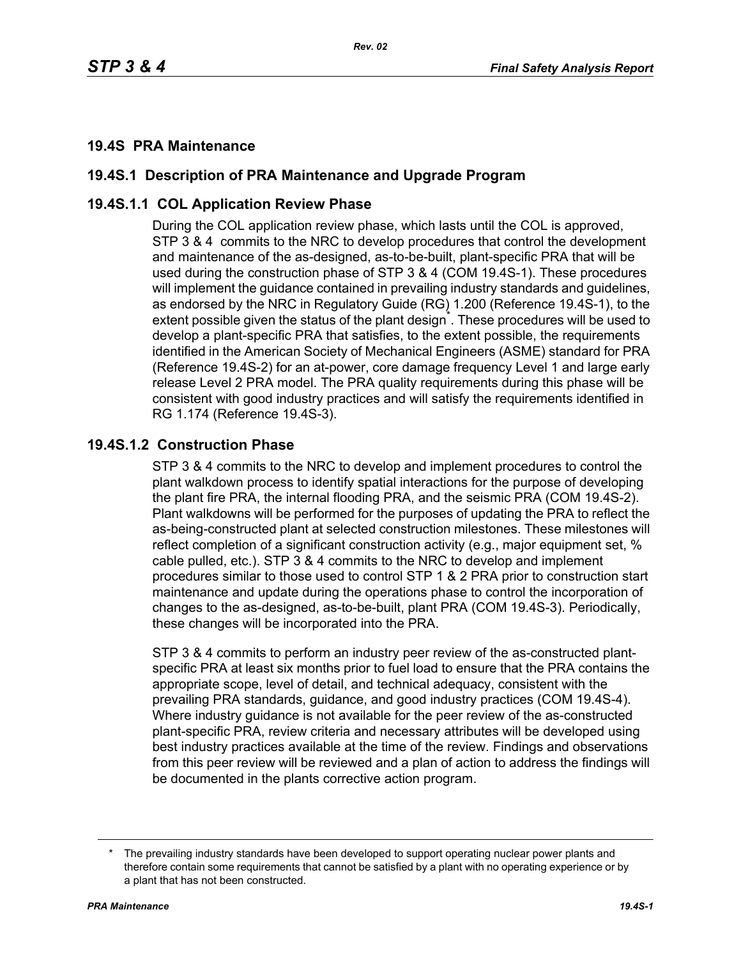### **19.4S PRA Maintenance**

# **19.4S.1 Description of PRA Maintenance and Upgrade Program**

### **19.4S.1.1 COL Application Review Phase**

During the COL application review phase, which lasts until the COL is approved, STP 3 & 4 commits to the NRC to develop procedures that control the development and maintenance of the as-designed, as-to-be-built, plant-specific PRA that will be used during the construction phase of STP 3 & 4 (COM 19.4S-1). These procedures will implement the guidance contained in prevailing industry standards and guidelines, as endorsed by the NRC in Regulatory Guide (RG) 1.200 (Reference 19.4S-1), to the extent possible given the status of the plant design<sup>\*</sup>. These procedures will be used to develop a plant-specific PRA that satisfies, to the extent possible, the requirements identified in the American Society of Mechanical Engineers (ASME) standard for PRA (Reference 19.4S-2) for an at-power, core damage frequency Level 1 and large early release Level 2 PRA model. The PRA quality requirements during this phase will be consistent with good industry practices and will satisfy the requirements identified in RG 1.174 (Reference 19.4S-3).

## **19.4S.1.2 Construction Phase**

STP 3 & 4 commits to the NRC to develop and implement procedures to control the plant walkdown process to identify spatial interactions for the purpose of developing the plant fire PRA, the internal flooding PRA, and the seismic PRA (COM 19.4S-2). Plant walkdowns will be performed for the purposes of updating the PRA to reflect the as-being-constructed plant at selected construction milestones. These milestones will reflect completion of a significant construction activity (e.g., major equipment set, % cable pulled, etc.). STP 3 & 4 commits to the NRC to develop and implement procedures similar to those used to control STP 1 & 2 PRA prior to construction start maintenance and update during the operations phase to control the incorporation of changes to the as-designed, as-to-be-built, plant PRA (COM 19.4S-3). Periodically, these changes will be incorporated into the PRA.

STP 3 & 4 commits to perform an industry peer review of the as-constructed plantspecific PRA at least six months prior to fuel load to ensure that the PRA contains the appropriate scope, level of detail, and technical adequacy, consistent with the prevailing PRA standards, guidance, and good industry practices (COM 19.4S-4). Where industry guidance is not available for the peer review of the as-constructed plant-specific PRA, review criteria and necessary attributes will be developed using best industry practices available at the time of the review. Findings and observations from this peer review will be reviewed and a plan of action to address the findings will be documented in the plants corrective action program.

The prevailing industry standards have been developed to support operating nuclear power plants and therefore contain some requirements that cannot be satisfied by a plant with no operating experience or by a plant that has not been constructed.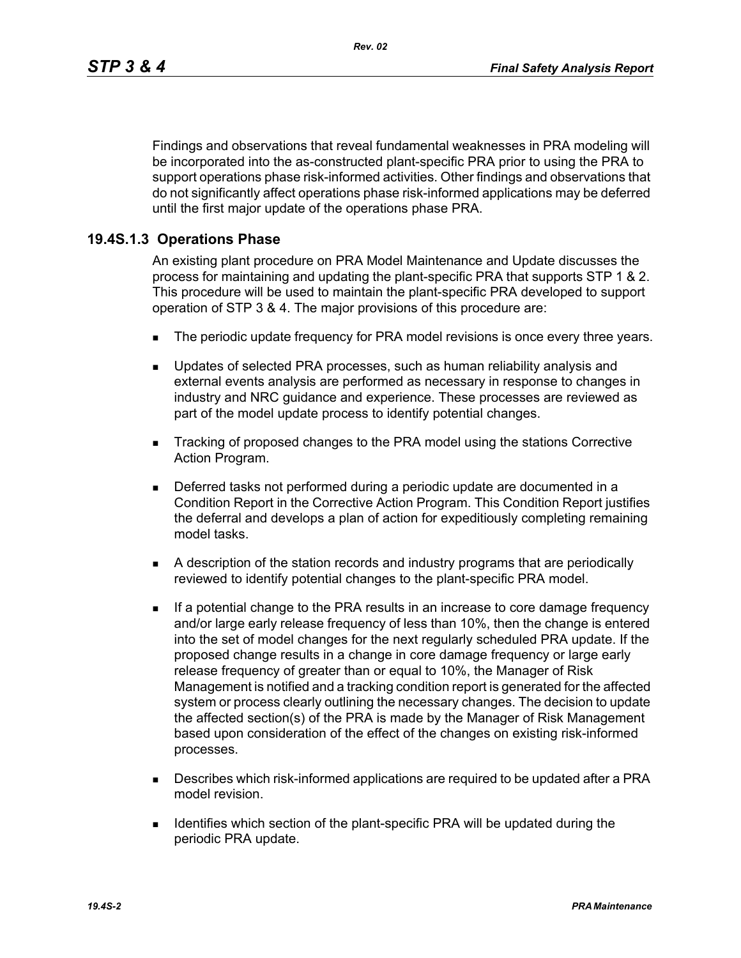Findings and observations that reveal fundamental weaknesses in PRA modeling will be incorporated into the as-constructed plant-specific PRA prior to using the PRA to support operations phase risk-informed activities. Other findings and observations that do not significantly affect operations phase risk-informed applications may be deferred until the first major update of the operations phase PRA.

#### **19.4S.1.3 Operations Phase**

An existing plant procedure on PRA Model Maintenance and Update discusses the process for maintaining and updating the plant-specific PRA that supports STP 1 & 2. This procedure will be used to maintain the plant-specific PRA developed to support operation of STP 3 & 4. The major provisions of this procedure are:

- The periodic update frequency for PRA model revisions is once every three years.
- **Updates of selected PRA processes, such as human reliability analysis and** external events analysis are performed as necessary in response to changes in industry and NRC guidance and experience. These processes are reviewed as part of the model update process to identify potential changes.
- Tracking of proposed changes to the PRA model using the stations Corrective Action Program.
- Deferred tasks not performed during a periodic update are documented in a Condition Report in the Corrective Action Program. This Condition Report justifies the deferral and develops a plan of action for expeditiously completing remaining model tasks.
- A description of the station records and industry programs that are periodically reviewed to identify potential changes to the plant-specific PRA model.
- **If a potential change to the PRA results in an increase to core damage frequency** and/or large early release frequency of less than 10%, then the change is entered into the set of model changes for the next regularly scheduled PRA update. If the proposed change results in a change in core damage frequency or large early release frequency of greater than or equal to 10%, the Manager of Risk Management is notified and a tracking condition report is generated for the affected system or process clearly outlining the necessary changes. The decision to update the affected section(s) of the PRA is made by the Manager of Risk Management based upon consideration of the effect of the changes on existing risk-informed processes.
- **Describes which risk-informed applications are required to be updated after a PRA** model revision.
- **IDENTIFIELD** Unit Identifies which section of the plant-specific PRA will be updated during the periodic PRA update.